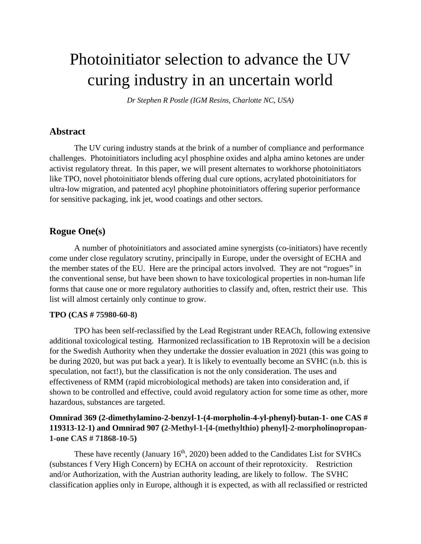# Photoinitiator selection to advance the UV curing industry in an uncertain world

*Dr Stephen R Postle (IGM Resins, Charlotte NC, USA)* 

#### **Abstract**

The UV curing industry stands at the brink of a number of compliance and performance challenges. Photoinitiators including acyl phosphine oxides and alpha amino ketones are under activist regulatory threat. In this paper, we will present alternates to workhorse photoinitiators like TPO, novel photoinitiator blends offering dual cure options, acrylated photoinitiators for ultra-low migration, and patented acyl phophine photoinitiators offering superior performance for sensitive packaging, ink jet, wood coatings and other sectors.

# **Rogue One(s)**

A number of photoinitiators and associated amine synergists (co-initiators) have recently come under close regulatory scrutiny, principally in Europe, under the oversight of ECHA and the member states of the EU. Here are the principal actors involved. They are not "rogues" in the conventional sense, but have been shown to have toxicological properties in non-human life forms that cause one or more regulatory authorities to classify and, often, restrict their use. This list will almost certainly only continue to grow.

#### **TPO (CAS # 75980-60-8)**

TPO has been self-reclassified by the Lead Registrant under REACh, following extensive additional toxicological testing. Harmonized reclassification to 1B Reprotoxin will be a decision for the Swedish Authority when they undertake the dossier evaluation in 2021 (this was going to be during 2020, but was put back a year). It is likely to eventually become an SVHC (n.b. this is speculation, not fact!), but the classification is not the only consideration. The uses and effectiveness of RMM (rapid microbiological methods) are taken into consideration and, if shown to be controlled and effective, could avoid regulatory action for some time as other, more hazardous, substances are targeted.

## **Omnirad 369 (2-dimethylamino-2-benzyl-1-(4-morpholin-4-yl-phenyl)-butan-1- one CAS # 119313-12-1) and Omnirad 907 (2-Methyl-1-[4-(methylthio) phenyl]-2-morpholinopropan-1-one CAS # 71868-10-5)**

These have recently (January  $16<sup>th</sup>$ , 2020) been added to the Candidates List for SVHCs (substances f Very High Concern) by ECHA on account of their reprotoxicity. Restriction and/or Authorization, with the Austrian authority leading, are likely to follow. The SVHC classification applies only in Europe, although it is expected, as with all reclassified or restricted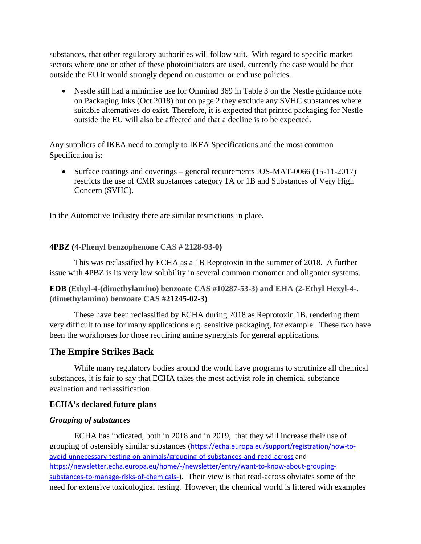substances, that other regulatory authorities will follow suit. With regard to specific market sectors where one or other of these photoinitiators are used, currently the case would be that outside the EU it would strongly depend on customer or end use policies.

• Nestle still had a minimise use for Omnirad 369 in Table 3 on the Nestle guidance note on Packaging Inks (Oct 2018) but on page 2 they exclude any SVHC substances where suitable alternatives do exist. Therefore, it is expected that printed packaging for Nestle outside the EU will also be affected and that a decline is to be expected.

Any suppliers of IKEA need to comply to IKEA Specifications and the most common Specification is:

• Surface coatings and coverings – general requirements IOS-MAT-0066 (15-11-2017) restricts the use of CMR substances category 1A or 1B and Substances of Very High Concern (SVHC).

In the Automotive Industry there are similar restrictions in place.

#### **4PBZ (4-Phenyl benzophenone CAS # 2128-93-0)**

This was reclassified by ECHA as a 1B Reprotoxin in the summer of 2018. A further issue with 4PBZ is its very low solubility in several common monomer and oligomer systems.

**EDB (Ethyl-4-(dimethylamino) benzoate CAS #10287-53-3) and EHA (2-Ethyl Hexyl-4-. (dimethylamino) benzoate CAS #21245-02-3)**

These have been reclassified by ECHA during 2018 as Reprotoxin 1B, rendering them very difficult to use for many applications e.g. sensitive packaging, for example. These two have been the workhorses for those requiring amine synergists for general applications.

### **The Empire Strikes Back**

While many regulatory bodies around the world have programs to scrutinize all chemical substances, it is fair to say that ECHA takes the most activist role in chemical substance evaluation and reclassification.

#### **ECHA's declared future plans**

#### *Grouping of substances*

ECHA has indicated, both in 2018 and in 2019, that they will increase their use of grouping of ostensibly similar substances ([https://echa.europa.eu/support/registration/how-to](https://echa.europa.eu/support/registration/how-to-avoid-unnecessary-testing-on-animals/grouping-of-substances-and-read-across)[avoid-unnecessary-testing-on-animals/grouping-of-substances-and-read-across](https://echa.europa.eu/support/registration/how-to-avoid-unnecessary-testing-on-animals/grouping-of-substances-and-read-across) and [https://newsletter.echa.europa.eu/home/-/newsletter/entry/want-to-know-about-grouping](https://newsletter.echa.europa.eu/home/-/newsletter/entry/want-to-know-about-grouping-substances-to-manage-risks-of-chemicals-)[substances-to-manage-risks-of-chemicals-](https://newsletter.echa.europa.eu/home/-/newsletter/entry/want-to-know-about-grouping-substances-to-manage-risks-of-chemicals-)). Their view is that read-across obviates some of the need for extensive toxicological testing. However, the chemical world is littered with examples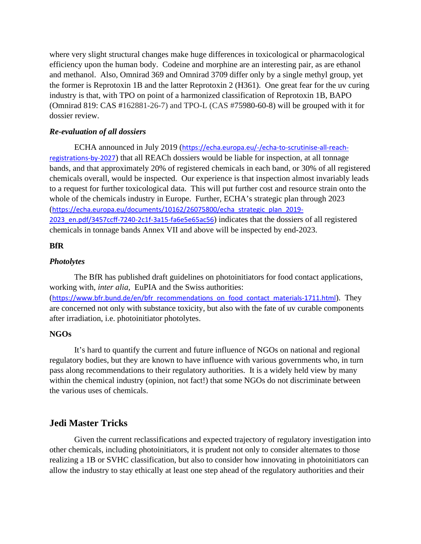where very slight structural changes make huge differences in toxicological or pharmacological efficiency upon the human body. Codeine and morphine are an interesting pair, as are ethanol and methanol. Also, Omnirad 369 and Omnirad 3709 differ only by a single methyl group, yet the former is Reprotoxin 1B and the latter Reprotoxin 2 (H361). One great fear for the uv curing industry is that, with TPO on point of a harmonized classification of Reprotoxin 1B, BAPO (Omnirad 819: CAS #162881-26-7) and TPO-L (CAS #75980-60-8) will be grouped with it for dossier review.

#### *Re-evaluation of all dossiers*

 ECHA announced in July 2019 ([https://echa.europa.eu/-/echa-to-scrutinise-all-reach](https://echa.europa.eu/-/echa-to-scrutinise-all-reach-registrations-by-2027)[registrations-by-2027](https://echa.europa.eu/-/echa-to-scrutinise-all-reach-registrations-by-2027)) that all REACh dossiers would be liable for inspection, at all tonnage bands, and that approximately 20% of registered chemicals in each band, or 30% of all registered chemicals overall, would be inspected. Our experience is that inspection almost invariably leads to a request for further toxicological data. This will put further cost and resource strain onto the whole of the chemicals industry in Europe. Further, ECHA's strategic plan through 2023 ([https://echa.europa.eu/documents/10162/26075800/echa\\_strategic\\_plan\\_2019-](https://echa.europa.eu/documents/10162/26075800/echa_strategic_plan_2019-2023_en.pdf/3457ccff-7240-2c1f-3a15-fa6e5e65ac56) [2023\\_en.pdf/3457ccff-7240-2c1f-3a15-fa6e5e65ac56](https://echa.europa.eu/documents/10162/26075800/echa_strategic_plan_2019-2023_en.pdf/3457ccff-7240-2c1f-3a15-fa6e5e65ac56)) indicates that the dossiers of all registered chemicals in tonnage bands Annex VII and above will be inspected by end-2023.

#### **BfR**

#### *Photolytes*

The BfR has published draft guidelines on photoinitiators for food contact applications, working with, *inter alia*, EuPIA and the Swiss authorities: ([https://www.bfr.bund.de/en/bfr\\_recommendations\\_on\\_food\\_contact\\_materials-1711.html](https://www.bfr.bund.de/en/bfr_recommendations_on_food_contact_materials-1711.html)). They are concerned not only with substance toxicity, but also with the fate of uv curable components after irradiation, i.e. photoinitiator photolytes.

### **NGOs**

It's hard to quantify the current and future influence of NGOs on national and regional regulatory bodies, but they are known to have influence with various governments who, in turn pass along recommendations to their regulatory authorities. It is a widely held view by many within the chemical industry (opinion, not fact!) that some NGOs do not discriminate between the various uses of chemicals.

# **Jedi Master Tricks**

Given the current reclassifications and expected trajectory of regulatory investigation into other chemicals, including photoinitiators, it is prudent not only to consider alternates to those realizing a 1B or SVHC classification, but also to consider how innovating in photoinitiators can allow the industry to stay ethically at least one step ahead of the regulatory authorities and their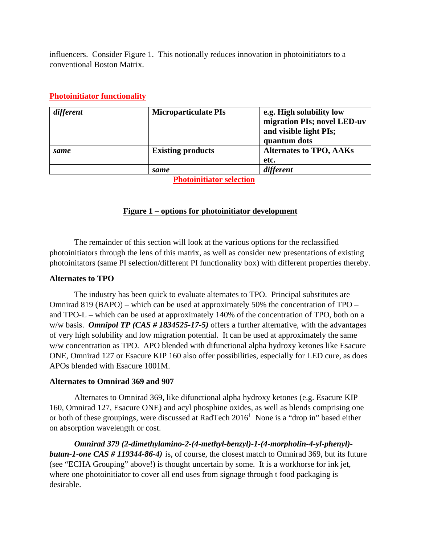influencers. Consider Figure 1. This notionally reduces innovation in photoinitiators to a conventional Boston Matrix.

|      |                          | and visible light PIs;<br>quantum dots |
|------|--------------------------|----------------------------------------|
| same | <b>Existing products</b> | <b>Alternates to TPO, AAKs</b>         |
|      |                          | etc.                                   |
|      | same                     | different                              |

## **Photoinitiator functionality**

 **Photoinitiator selection**

### **Figure 1 – options for photoinitiator development**

The remainder of this section will look at the various options for the reclassified photoinitiators through the lens of this matrix, as well as consider new presentations of existing photoinitators (same PI selection/different PI functionality box) with different properties thereby.

### **Alternates to TPO**

 The industry has been quick to evaluate alternates to TPO. Principal substitutes are Omnirad 819 (BAPO) – which can be used at approximately 50% the concentration of TPO – and TPO-L – which can be used at approximately 140% of the concentration of TPO, both on a w/w basis. *Omnipol TP (CAS # 1834525-17-5)* offers a further alternative, with the advantages of very high solubility and low migration potential. It can be used at approximately the same w/w concentration as TPO. APO blended with difunctional alpha hydroxy ketones like Esacure ONE, Omnirad 127 or Esacure KIP 160 also offer possibilities, especially for LED cure, as does APOs blended with Esacure 1001M.

#### **Alternates to Omnirad 369 and 907**

Alternates to Omnirad 369, like difunctional alpha hydroxy ketones (e.g. Esacure KIP 160, Omnirad 127, Esacure ONE) and acyl phosphine oxides, as well as blends comprising one or both of these groupings, were discussed at RadTech  $2016<sup>1</sup>$  None is a "drop in" based either on absorption wavelength or cost.

*Omnirad 379 (2-dimethylamino-2-(4-methyl-benzyl)-1-(4-morpholin-4-yl-phenyl) butan-1-one CAS # 119344-86-4)* is, of course, the closest match to Omnirad 369, but its future (see "ECHA Grouping" above!) is thought uncertain by some. It is a workhorse for ink jet, where one photoinitiator to cover all end uses from signage through t food packaging is desirable.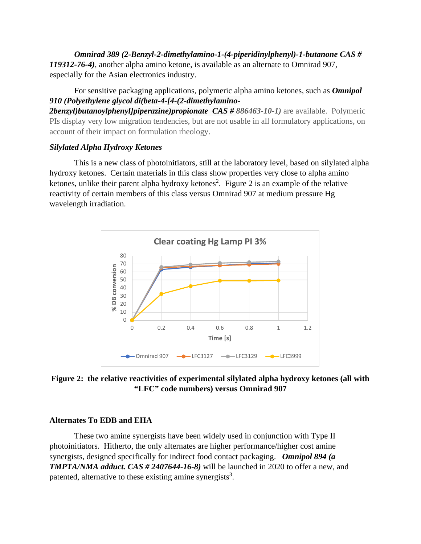*Omnirad 389 (2-Benzyl-2-dimethylamino-1-(4-piperidinylphenyl)-1-butanone CAS # 119312-76-4)*, another alpha amino ketone, is available as an alternate to Omnirad 907, especially for the Asian electronics industry.

For sensitive packaging applications, polymeric alpha amino ketones, such as *Omnipol 910 (Polyethylene glycol di(beta-4-[4-(2-dimethylamino-*

**2benzyl)butanoylphenyl/piperazine)propionate CAS # 886463-10-1)** are available. Polymeric PIs display very low migration tendencies, but are not usable in all formulatory applications, on account of their impact on formulation rheology.

#### *Silylated Alpha Hydroxy Ketones*

This is a new class of photoinitiators, still at the laboratory level, based on silylated alpha hydroxy ketones. Certain materials in this class show properties very close to alpha amino ketones, unlike their parent alpha hydroxy ketones<sup>2</sup>. Figure 2 is an example of the relative reactivity of certain members of this class versus Omnirad 907 at medium pressure Hg wavelength irradiation.



**Figure 2: the relative reactivities of experimental silylated alpha hydroxy ketones (all with "LFC" code numbers) versus Omnirad 907**

#### **Alternates To EDB and EHA**

These two amine synergists have been widely used in conjunction with Type II photoinitiators. Hitherto, the only alternates are higher performance/higher cost amine synergists, designed specifically for indirect food contact packaging. *Omnipol 894 (a TMPTA/NMA adduct. CAS # 2407644-16-8)* will be launched in 2020 to offer a new, and patented, alternative to these existing amine synergists<sup>3</sup>.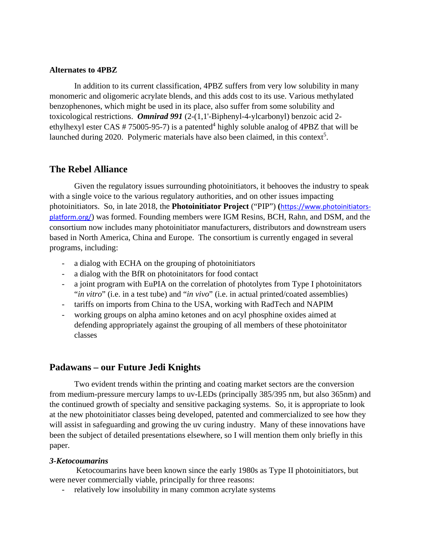#### **Alternates to 4PBZ**

In addition to its current classification, 4PBZ suffers from very low solubility in many monomeric and oligomeric acrylate blends, and this adds cost to its use. Various methylated benzophenones, which might be used in its place, also suffer from some solubility and toxicological restrictions. *Omnirad 991* (2-(1,1'-Biphenyl-4-ylcarbonyl) benzoic acid 2 ethylhexyl ester CAS  $# 75005-95-7$ ) is a patented<sup>4</sup> highly soluble analog of 4PBZ that will be launched during 2020. Polymeric materials have also been claimed, in this context<sup>5</sup>.

## **The Rebel Alliance**

Given the regulatory issues surrounding photoinitiators, it behooves the industry to speak with a single voice to the various regulatory authorities, and on other issues impacting photoinitiators. So, in late 2018, the **Photoinitiator Project** ("PIP") **(**[https://www.photoinitiators](https://www.photoinitiators-platform.org/)[platform.org/](https://www.photoinitiators-platform.org/)) was formed. Founding members were IGM Resins, BCH, Rahn, and DSM, and the consortium now includes many photoinitiator manufacturers, distributors and downstream users based in North America, China and Europe. The consortium is currently engaged in several programs, including:

- a dialog with ECHA on the grouping of photoinitiators
- a dialog with the BfR on photoinitators for food contact
- a joint program with EuPIA on the correlation of photolytes from Type I photoinitators "*in vitro*" (i.e. in a test tube) and "*in vivo*" (i.e. in actual printed/coated assemblies)
- tariffs on imports from China to the USA, working with RadTech and NAPIM
- working groups on alpha amino ketones and on acyl phosphine oxides aimed at defending appropriately against the grouping of all members of these photoinitator classes

### **Padawans – our Future Jedi Knights**

Two evident trends within the printing and coating market sectors are the conversion from medium-pressure mercury lamps to uv-LEDs (principally 385/395 nm, but also 365nm) and the continued growth of specialty and sensitive packaging systems. So, it is appropriate to look at the new photoinitiator classes being developed, patented and commercialized to see how they will assist in safeguarding and growing the uv curing industry. Many of these innovations have been the subject of detailed presentations elsewhere, so I will mention them only briefly in this paper.

#### *3-Ketocoumarins*

Ketocoumarins have been known since the early 1980s as Type II photoinitiators, but were never commercially viable, principally for three reasons:

relatively low insolubility in many common acrylate systems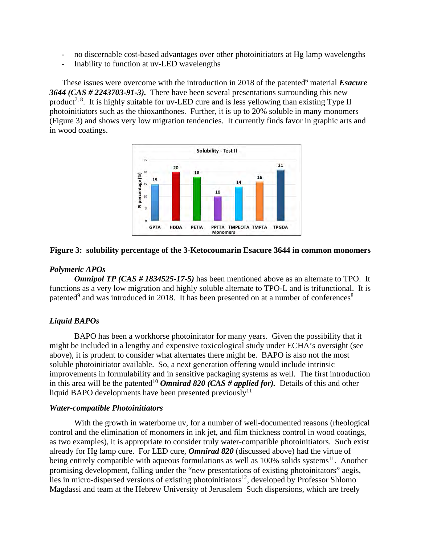- no discernable cost-based advantages over other photoinitiators at Hg lamp wavelengths
- Inability to function at uv-LED wavelengths

These issues were overcome with the introduction in 2018 of the patented<sup>6</sup> material *Esacure 3644 (CAS # 2243703-91-3).* There have been several presentations surrounding this new product<sup>7, 8</sup>. It is highly suitable for uv-LED cure and is less yellowing than existing Type II photoinitiators such as the thioxanthones. Further, it is up to 20% soluble in many monomers (Figure 3) and shows very low migration tendencies. It currently finds favor in graphic arts and in wood coatings.



## **Figure 3: solubility percentage of the 3-Ketocoumarin Esacure 3644 in common monomers**

## *Polymeric APOs*

*Omnipol TP (CAS # 1834525-17-5)* has been mentioned above as an alternate to TPO. It functions as a very low migration and highly soluble alternate to TPO-L and is trifunctional. It is patented<sup>9</sup> and was introduced in 2018. It has been presented on at a number of conferences<sup>8</sup>

## *Liquid BAPOs*

BAPO has been a workhorse photoinitator for many years. Given the possibility that it might be included in a lengthy and expensive toxicological study under ECHA's oversight (see above), it is prudent to consider what alternates there might be. BAPO is also not the most soluble photoinitiator available. So, a next generation offering would include intrinsic improvements in formulability and in sensitive packaging systems as well. The first introduction in this area will be the patented<sup>10</sup> *Omnirad 820 (CAS # applied for)*. Details of this and other liquid BAPO developments have been presented previously<sup>11</sup>

### *Water-compatible Photoinitiators*

 With the growth in waterborne uv, for a number of well-documented reasons (rheological control and the elimination of monomers in ink jet, and film thickness control in wood coatings, as two examples), it is appropriate to consider truly water-compatible photoinitiators. Such exist already for Hg lamp cure. For LED cure, *Omnirad 820* (discussed above) had the virtue of being entirely compatible with aqueous formulations as well as  $100\%$  solids systems<sup>11</sup>. Another promising development, falling under the "new presentations of existing photoinitators" aegis, lies in micro-dispersed versions of existing photoinitiators<sup>12</sup>, developed by Professor Shlomo Magdassi and team at the Hebrew University of Jerusalem Such dispersions, which are freely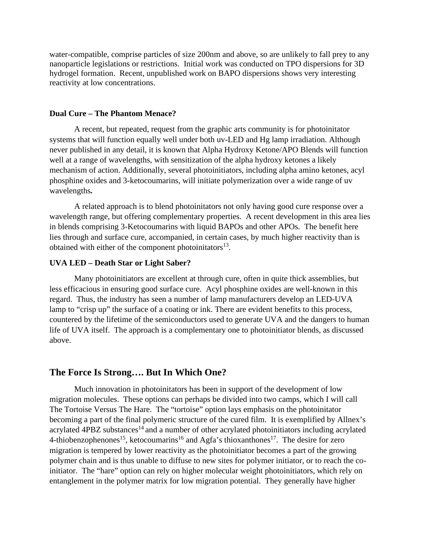water-compatible, comprise particles of size 200nm and above, so are unlikely to fall prey to any nanoparticle legislations or restrictions. Initial work was conducted on TPO dispersions for 3D hydrogel formation. Recent, unpublished work on BAPO dispersions shows very interesting reactivity at low concentrations.

#### **Dual Cure – The Phantom Menace?**

A recent, but repeated, request from the graphic arts community is for photoinitator systems that will function equally well under both uv-LED and Hg lamp irradiation. Although never published in any detail, it is known that Alpha Hydroxy Ketone/APO Blends will function well at a range of wavelengths, with sensitization of the alpha hydroxy ketones a likely mechanism of action. Additionally, several photoinitiators, including alpha amino ketones, acyl phosphine oxides and 3-ketocoumarins, will initiate polymerization over a wide range of uv wavelengths*.* 

A related approach is to blend photoinitators not only having good cure response over a wavelength range, but offering complementary properties. A recent development in this area lies in blends comprising 3-Ketocoumarins with liquid BAPOs and other APOs. The benefit here lies through and surface cure, accompanied, in certain cases, by much higher reactivity than is obtained with either of the component photoinitators $^{13}$ .

#### **UVA LED – Death Star or Light Saber?**

Many photoinitiators are excellent at through cure, often in quite thick assemblies, but less efficacious in ensuring good surface cure. Acyl phosphine oxides are well-known in this regard. Thus, the industry has seen a number of lamp manufacturers develop an LED-UVA lamp to "crisp up" the surface of a coating or ink. There are evident benefits to this process, countered by the lifetime of the semiconductors used to generate UVA and the dangers to human life of UVA itself. The approach is a complementary one to photoinitiator blends, as discussed above.

#### **The Force Is Strong…. But In Which One?**

Much innovation in photoinitators has been in support of the development of low migration molecules. These options can perhaps be divided into two camps, which I will call The Tortoise Versus The Hare. The "tortoise" option lays emphasis on the photoinitator becoming a part of the final polymeric structure of the cured film. It is exemplified by Allnex's acrylated 4PBZ substances<sup>14</sup> and a number of other acrylated photoinitiators including acrylated 4-thiobenzophenones<sup>15</sup>, ketocoumarins<sup>16</sup> and Agfa's thioxanthones<sup>17</sup>. The desire for zero migration is tempered by lower reactivity as the photoinitiator becomes a part of the growing polymer chain and is thus unable to diffuse to new sites for polymer initiator, or to reach the coinitiator. The "hare" option can rely on higher molecular weight photoinitiators, which rely on entanglement in the polymer matrix for low migration potential. They generally have higher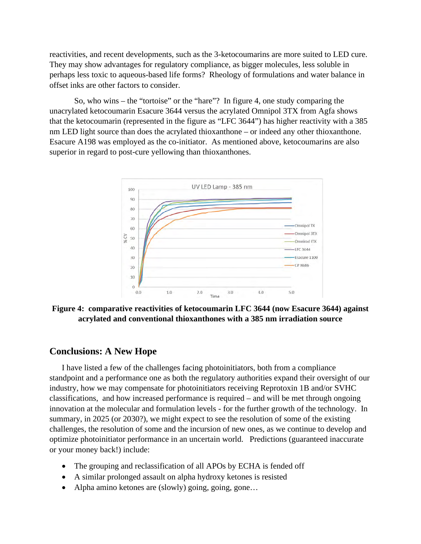reactivities, and recent developments, such as the 3-ketocoumarins are more suited to LED cure. They may show advantages for regulatory compliance, as bigger molecules, less soluble in perhaps less toxic to aqueous-based life forms? Rheology of formulations and water balance in offset inks are other factors to consider.

So, who wins – the "tortoise" or the "hare"? In figure 4, one study comparing the unacrylated ketocoumarin Esacure 3644 versus the acrylated Omnipol 3TX from Agfa shows that the ketocoumarin (represented in the figure as "LFC 3644") has higher reactivity with a 385 nm LED light source than does the acrylated thioxanthone – or indeed any other thioxanthone. Esacure A198 was employed as the co-initiator. As mentioned above, ketocoumarins are also superior in regard to post-cure yellowing than thioxanthones.



**Figure 4: comparative reactivities of ketocoumarin LFC 3644 (now Esacure 3644) against acrylated and conventional thioxanthones with a 385 nm irradiation source** 

#### **Conclusions: A New Hope**

I have listed a few of the challenges facing photoinitiators, both from a compliance standpoint and a performance one as both the regulatory authorities expand their oversight of our industry, how we may compensate for photoinitiators receiving Reprotoxin 1B and/or SVHC classifications, and how increased performance is required – and will be met through ongoing innovation at the molecular and formulation levels - for the further growth of the technology. In summary, in 2025 (or 2030?), we might expect to see the resolution of some of the existing challenges, the resolution of some and the incursion of new ones, as we continue to develop and optimize photoinitiator performance in an uncertain world. Predictions (guaranteed inaccurate or your money back!) include:

- The grouping and reclassification of all APOs by ECHA is fended off
- A similar prolonged assault on alpha hydroxy ketones is resisted
- Alpha amino ketones are (slowly) going, going, gone...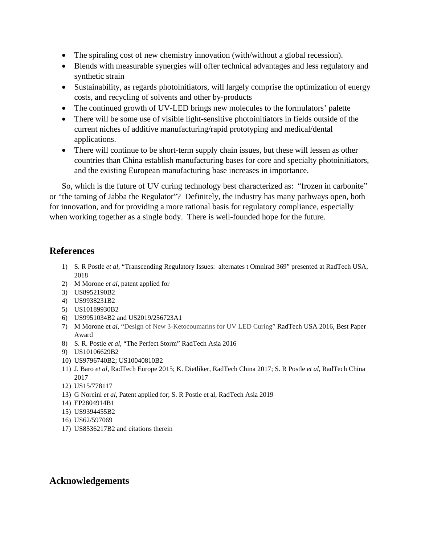- The spiraling cost of new chemistry innovation (with/without a global recession).
- Blends with measurable synergies will offer technical advantages and less regulatory and synthetic strain
- Sustainability, as regards photoinitiators, will largely comprise the optimization of energy costs, and recycling of solvents and other by-products
- The continued growth of UV-LED brings new molecules to the formulators' palette
- There will be some use of visible light-sensitive photoinitiators in fields outside of the current niches of additive manufacturing/rapid prototyping and medical/dental applications.
- There will continue to be short-term supply chain issues, but these will lessen as other countries than China establish manufacturing bases for core and specialty photoinitiators, and the existing European manufacturing base increases in importance.

So, which is the future of UV curing technology best characterized as: "frozen in carbonite" or "the taming of Jabba the Regulator"? Definitely, the industry has many pathways open, both for innovation, and for providing a more rational basis for regulatory compliance, especially when working together as a single body. There is well-founded hope for the future.

# **References**

- 1) S. R Postle *et al*, "Transcending Regulatory Issues: alternates t Omnirad 369" presented at RadTech USA, 2018
- 2) M Morone *et al*, patent applied for
- 3) US8952190B2
- 4) US9938231B2
- 5) US10189930B2
- 6) US9951034B2 and US2019/256723A1
- 7) M Morone et *al*, "Design of New 3-Ketocoumarins for UV LED Curing" RadTech USA 2016, Best Paper Award
- 8) S. R. Postle *et al*, "The Perfect Storm" RadTech Asia 2016
- 9) US10106629B2
- 10) US9796740B2; US10040810B2
- 11) J. Baro *et al,* RadTech Europe 2015; K. Dietliker, RadTech China 2017; S. R Postle *et al*, RadTech China 2017
- 12) US15/778117
- 13) G Norcini *et al*, Patent applied for; S. R Postle et al, RadTech Asia 2019
- 14) EP2804914B1
- 15) US9394455B2
- 16) US62/597069
- 17) US8536217B2 and citations therein

# **Acknowledgements**